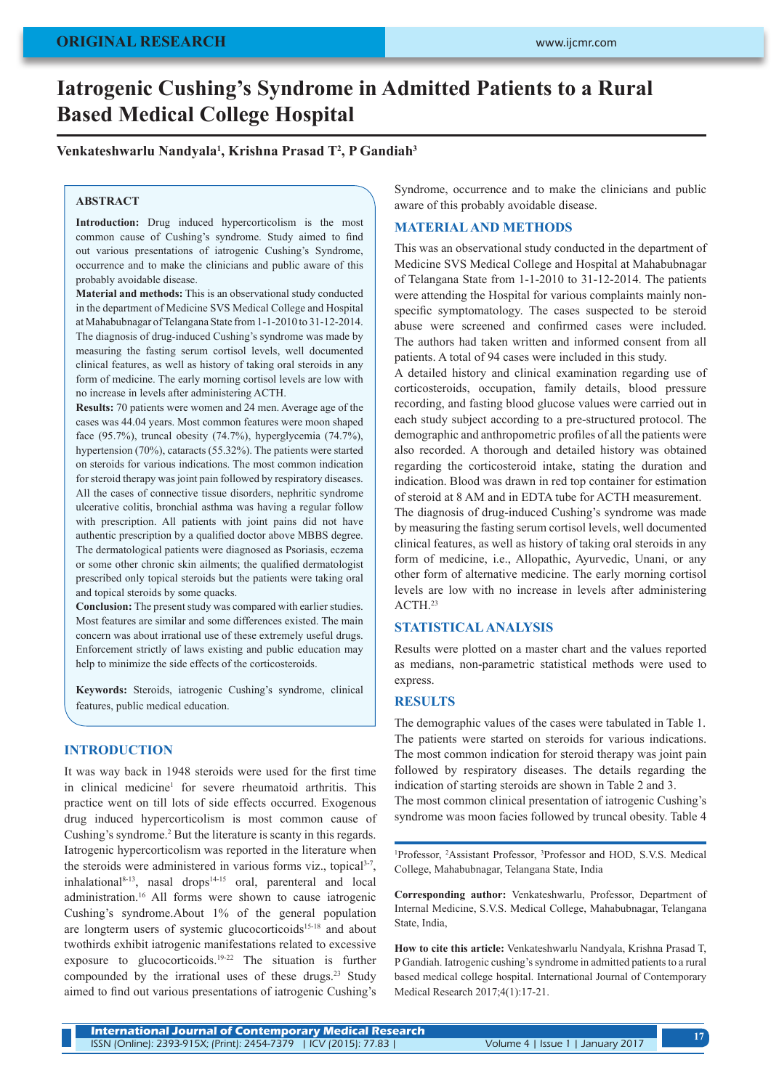# **ORIGINAL RESEARCH**

# **Iatrogenic Cushing's Syndrome in Admitted Patients to a Rural Based Medical College Hospital**

# **Venkateshwarlu Nandyala1 , Krishna Prasad T2 , P Gandiah3**

#### **ABSTRACT**

**Introduction:** Drug induced hypercorticolism is the most common cause of Cushing's syndrome. Study aimed to find out various presentations of iatrogenic Cushing's Syndrome, occurrence and to make the clinicians and public aware of this probably avoidable disease.

**Material and methods:** This is an observational study conducted in the department of Medicine SVS Medical College and Hospital at Mahabubnagar of Telangana State from 1-1-2010 to 31-12-2014. The diagnosis of drug-induced Cushing's syndrome was made by measuring the fasting serum cortisol levels, well documented clinical features, as well as history of taking oral steroids in any form of medicine. The early morning cortisol levels are low with no increase in levels after administering ACTH.

**Results:** 70 patients were women and 24 men. Average age of the cases was 44.04 years. Most common features were moon shaped face (95.7%), truncal obesity (74.7%), hyperglycemia (74.7%), hypertension (70%), cataracts (55.32%). The patients were started on steroids for various indications. The most common indication for steroid therapy was joint pain followed by respiratory diseases. All the cases of connective tissue disorders, nephritic syndrome ulcerative colitis, bronchial asthma was having a regular follow with prescription. All patients with joint pains did not have authentic prescription by a qualified doctor above MBBS degree. The dermatological patients were diagnosed as Psoriasis, eczema or some other chronic skin ailments; the qualified dermatologist prescribed only topical steroids but the patients were taking oral and topical steroids by some quacks.

**Conclusion:** The present study was compared with earlier studies. Most features are similar and some differences existed. The main concern was about irrational use of these extremely useful drugs. Enforcement strictly of laws existing and public education may help to minimize the side effects of the corticosteroids.

**Keywords:** Steroids, iatrogenic Cushing's syndrome, clinical features, public medical education.

#### **INTRODUCTION**

It was way back in 1948 steroids were used for the first time in clinical medicine<sup>1</sup> for severe rheumatoid arthritis. This practice went on till lots of side effects occurred. Exogenous drug induced hypercorticolism is most common cause of Cushing's syndrome.<sup>2</sup> But the literature is scanty in this regards. Iatrogenic hypercorticolism was reported in the literature when the steroids were administered in various forms viz., topical<sup>3-7</sup>,  $inhalational<sup>8-13</sup>$ , nasal drops<sup>14-15</sup> oral, parenteral and local administration.16 All forms were shown to cause iatrogenic Cushing's syndrome.About 1% of the general population are longterm users of systemic glucocorticoids<sup>15-18</sup> and about twothirds exhibit iatrogenic manifestations related to excessive exposure to glucocorticoids.19-22 The situation is further compounded by the irrational uses of these drugs.23 Study aimed to find out various presentations of iatrogenic Cushing's

Syndrome, occurrence and to make the clinicians and public aware of this probably avoidable disease.

# **MATERIAL AND METHODS**

This was an observational study conducted in the department of Medicine SVS Medical College and Hospital at Mahabubnagar of Telangana State from 1-1-2010 to 31-12-2014. The patients were attending the Hospital for various complaints mainly nonspecific symptomatology. The cases suspected to be steroid abuse were screened and confirmed cases were included. The authors had taken written and informed consent from all patients. A total of 94 cases were included in this study.

A detailed history and clinical examination regarding use of corticosteroids, occupation, family details, blood pressure recording, and fasting blood glucose values were carried out in each study subject according to a pre-structured protocol. The demographic and anthropometric profiles of all the patients were also recorded. A thorough and detailed history was obtained regarding the corticosteroid intake, stating the duration and indication. Blood was drawn in red top container for estimation of steroid at 8 AM and in EDTA tube for ACTH measurement. The diagnosis of drug-induced Cushing's syndrome was made by measuring the fasting serum cortisol levels, well documented

clinical features, as well as history of taking oral steroids in any form of medicine, i.e., Allopathic, Ayurvedic, Unani, or any other form of alternative medicine. The early morning cortisol levels are low with no increase in levels after administering ACTH.<sup>23</sup>

### **STATISTICAL ANALYSIS**

Results were plotted on a master chart and the values reported as medians, non-parametric statistical methods were used to express.

#### **RESULTS**

The demographic values of the cases were tabulated in Table 1. The patients were started on steroids for various indications. The most common indication for steroid therapy was joint pain followed by respiratory diseases. The details regarding the indication of starting steroids are shown in Table 2 and 3.

The most common clinical presentation of iatrogenic Cushing's syndrome was moon facies followed by truncal obesity. Table 4

<sup>1</sup>Professor, <sup>2</sup>Assistant Professor, <sup>3</sup>Professor and HOD, S.V.S. Medical College, Mahabubnagar, Telangana State, India

**Corresponding author:** Venkateshwarlu, Professor, Department of Internal Medicine, S.V.S. Medical College, Mahabubnagar, Telangana State, India,

**How to cite this article:** Venkateshwarlu Nandyala, Krishna Prasad T, P Gandiah. Iatrogenic cushing's syndrome in admitted patients to a rural based medical college hospital. International Journal of Contemporary Medical Research 2017;4(1):17-21.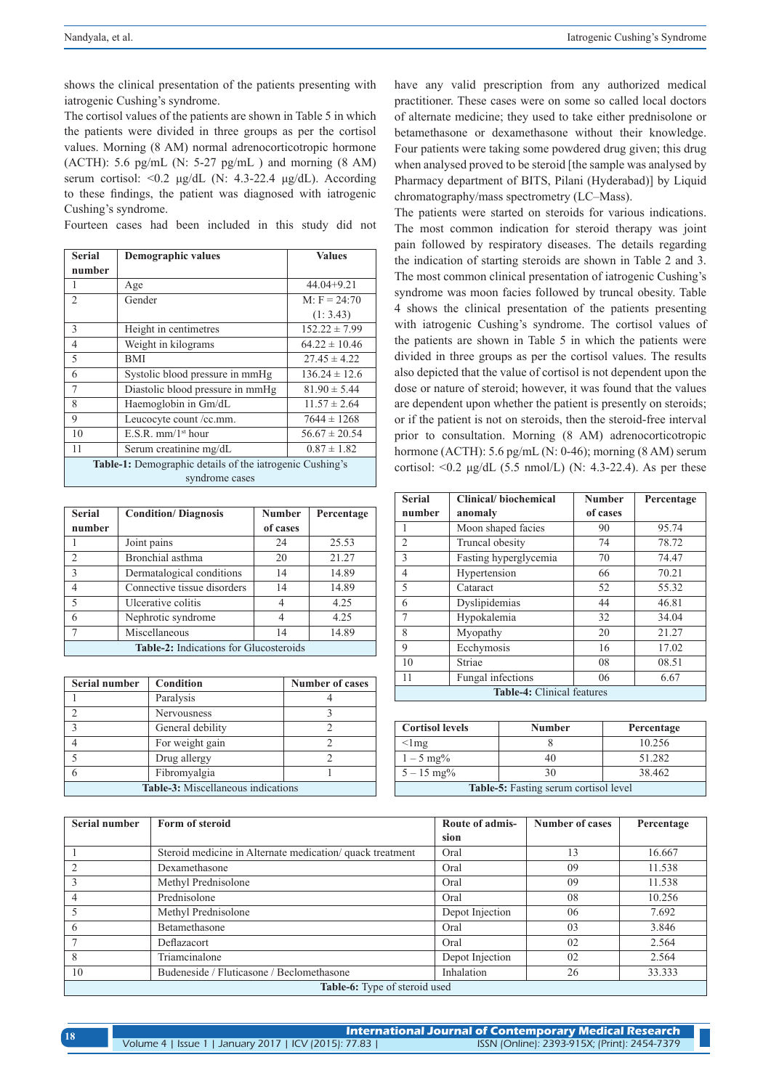shows the clinical presentation of the patients presenting with iatrogenic Cushing's syndrome.

The cortisol values of the patients are shown in Table 5 in which the patients were divided in three groups as per the cortisol values. Morning (8 AM) normal adrenocorticotropic hormone (ACTH): 5.6 pg/mL (N:  $5-27$  pg/mL) and morning (8 AM) serum cortisol: <0.2 μg/dL (N: 4.3-22.4 μg/dL). According to these findings, the patient was diagnosed with iatrogenic Cushing's syndrome.

Fourteen cases had been included in this study did not

| <b>Serial</b>                                                   | <b>Demographic values</b>        | <b>Values</b>     |
|-----------------------------------------------------------------|----------------------------------|-------------------|
| number                                                          |                                  |                   |
| 1                                                               | Age                              | $44.04 + 9.21$    |
| $\mathfrak{D}$                                                  | Gender                           | $M: F = 24:70$    |
|                                                                 |                                  | (1: 3.43)         |
| 3                                                               | Height in centimetres            | $152.22 \pm 7.99$ |
| $\overline{4}$                                                  | Weight in kilograms              | $64.22 \pm 10.46$ |
| 5                                                               | BMI                              | $27.45 \pm 4.22$  |
| 6                                                               | Systolic blood pressure in mmHg  | $136.24 \pm 12.6$ |
| $\overline{7}$                                                  | Diastolic blood pressure in mmHg | $81.90 \pm 5.44$  |
| 8                                                               | Haemoglobin in Gm/dL             | $11.57 \pm 2.64$  |
| 9                                                               | Leucocyte count/cc.mm.           | $7644 \pm 1268$   |
| 10                                                              | $E.S.R.$ mm/1 <sup>st</sup> hour | $56.67 \pm 20.54$ |
| 11                                                              | Serum creatinine mg/dL           | $0.87 \pm 1.82$   |
| <b>Table-1:</b> Demographic details of the iatrogenic Cushing's |                                  |                   |
| syndrome cases                                                  |                                  |                   |

| <b>Serial</b>                                 | <b>Condition/Diagnosis</b>  | <b>Number</b>  | Percentage |
|-----------------------------------------------|-----------------------------|----------------|------------|
| number                                        |                             | of cases       |            |
|                                               | Joint pains                 | 24             | 25.53      |
| $\mathfrak{D}$                                | Bronchial asthma            | 20             | 21.27      |
| $\overline{\mathcal{E}}$                      | Dermatalogical conditions   | 14             | 14.89      |
| 4                                             | Connective tissue disorders | 14             | 14.89      |
| 5                                             | Ulcerative colitis          | $\overline{4}$ | 4.25       |
| 6                                             | Nephrotic syndrome          | 4              | 4.25       |
| 7                                             | Miscellaneous               | 14             | 14.89      |
| <b>Table-2:</b> Indications for Glucosteroids |                             |                |            |

| Serial number                             | Condition          | <b>Number of cases</b> |
|-------------------------------------------|--------------------|------------------------|
|                                           | Paralysis          |                        |
| っ                                         | <b>Nervousness</b> |                        |
| 3                                         | General debility   |                        |
|                                           | For weight gain    |                        |
| $\varsigma$                               | Drug allergy       |                        |
| 6                                         | Fibromyalgia       |                        |
| <b>Table-3:</b> Miscellaneous indications |                    |                        |

have any valid prescription from any authorized medical practitioner. These cases were on some so called local doctors of alternate medicine; they used to take either prednisolone or betamethasone or dexamethasone without their knowledge. Four patients were taking some powdered drug given; this drug when analysed proved to be steroid [the sample was analysed by Pharmacy department of BITS, Pilani (Hyderabad)] by Liquid chromatography/mass spectrometry (LC–Mass).

The patients were started on steroids for various indications. The most common indication for steroid therapy was joint pain followed by respiratory diseases. The details regarding the indication of starting steroids are shown in Table 2 and 3. The most common clinical presentation of iatrogenic Cushing's syndrome was moon facies followed by truncal obesity. Table 4 shows the clinical presentation of the patients presenting with iatrogenic Cushing's syndrome. The cortisol values of the patients are shown in Table 5 in which the patients were divided in three groups as per the cortisol values. The results also depicted that the value of cortisol is not dependent upon the dose or nature of steroid; however, it was found that the values are dependent upon whether the patient is presently on steroids; or if the patient is not on steroids, then the steroid-free interval prior to consultation. Morning (8 AM) adrenocorticotropic hormone (ACTH): 5.6 pg/mL (N: 0-46); morning (8 AM) serum cortisol:  $\langle 0.2 \mu g/dL (5.5 \text{ nmol/L}) (N: 4.3-22.4)$ . As per these

| <b>Serial</b>              | Clinical/biochemical  | <b>Number</b> | Percentage |
|----------------------------|-----------------------|---------------|------------|
| number                     | anomaly               | of cases      |            |
|                            | Moon shaped facies    | 90            | 95.74      |
| $\overline{2}$             | Truncal obesity       | 74            | 78.72      |
| 3                          | Fasting hyperglycemia | 70            | 74.47      |
| $\overline{4}$             | Hypertension          | 66            | 70.21      |
| 5                          | Cataract              | 52            | 55.32      |
| 6                          | Dyslipidemias         | 44            | 46.81      |
| 7                          | Hypokalemia           | 32            | 34.04      |
| 8                          | Myopathy              | 20            | 21.27      |
| 9                          | Ecchymosis            | 16            | 17.02      |
| 10                         | Striae                | 08            | 08.51      |
| 11                         | Fungal infections     | 06            | 6.67       |
| Table-4: Clinical features |                       |               |            |

| <b>Cortisol levels</b>                       | <b>Number</b> | Percentage |  |
|----------------------------------------------|---------------|------------|--|
| $<$ lmg                                      |               | 10.256     |  |
| $1 - 5$ mg%                                  | 40            | 51.282     |  |
| $5 - 15$ mg%                                 | 30            | 38.462     |  |
| <b>Table-5:</b> Fasting serum cortisol level |               |            |  |

| <b>Serial number</b>                 | Form of steroid                                           | Route of admis- | <b>Number of cases</b> | Percentage |
|--------------------------------------|-----------------------------------------------------------|-----------------|------------------------|------------|
|                                      |                                                           | sion            |                        |            |
|                                      | Steroid medicine in Alternate medication/ quack treatment | Oral            | 13                     | 16.667     |
| $\overline{2}$                       | Dexamethasone                                             | Oral            | 09                     | 11.538     |
| 3                                    | Methyl Prednisolone                                       | Oral            | 09                     | 11.538     |
|                                      | Prednisolone                                              | Oral            | 08                     | 10.256     |
|                                      | Methyl Prednisolone                                       | Depot Injection | 06                     | 7.692      |
| 6                                    | Betamethasone                                             | Oral            | 03                     | 3.846      |
|                                      | Deflazacort                                               | Oral            | 02                     | 2.564      |
| 8                                    | Triamcinalone                                             | Depot Injection | 02                     | 2.564      |
| 10                                   | Budeneside / Fluticasone / Beclomethasone                 | Inhalation      | 26                     | 33.333     |
| <b>Table-6:</b> Type of steroid used |                                                           |                 |                        |            |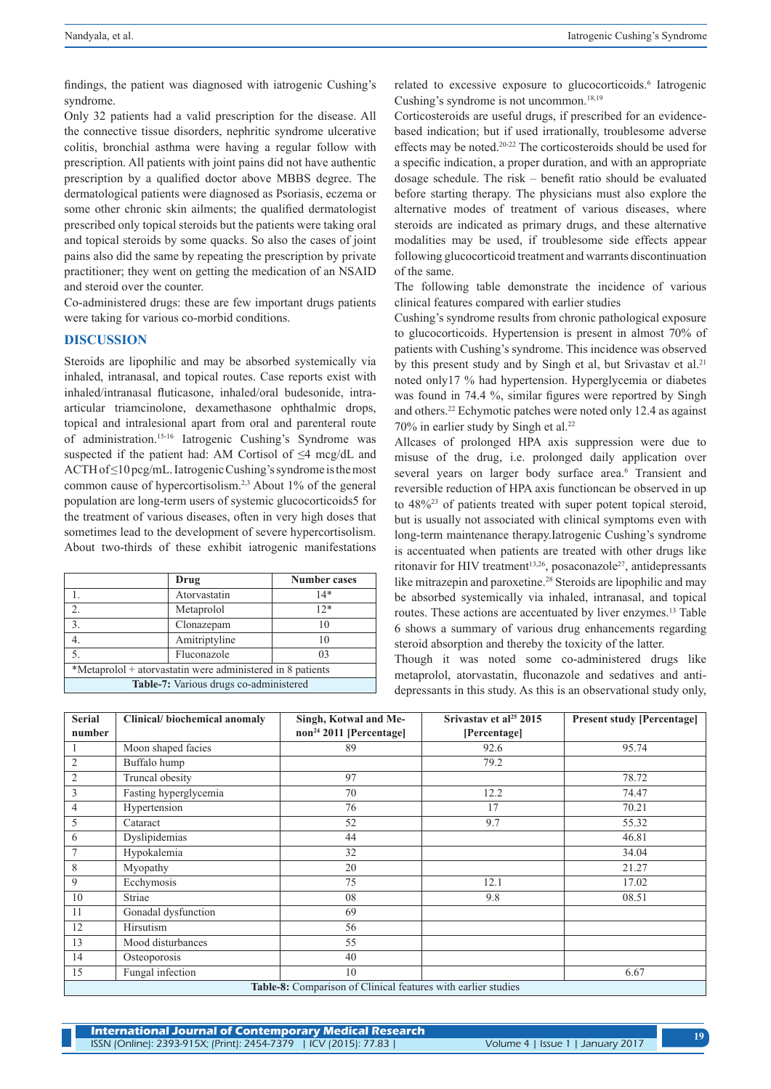findings, the patient was diagnosed with iatrogenic Cushing's syndrome.

Only 32 patients had a valid prescription for the disease. All the connective tissue disorders, nephritic syndrome ulcerative colitis, bronchial asthma were having a regular follow with prescription. All patients with joint pains did not have authentic prescription by a qualified doctor above MBBS degree. The dermatological patients were diagnosed as Psoriasis, eczema or some other chronic skin ailments; the qualified dermatologist prescribed only topical steroids but the patients were taking oral and topical steroids by some quacks. So also the cases of joint pains also did the same by repeating the prescription by private practitioner; they went on getting the medication of an NSAID and steroid over the counter.

Co-administered drugs: these are few important drugs patients were taking for various co-morbid conditions.

#### **DISCUSSION**

Steroids are lipophilic and may be absorbed systemically via inhaled, intranasal, and topical routes. Case reports exist with inhaled/intranasal fluticasone, inhaled/oral budesonide, intraarticular triamcinolone, dexamethasone ophthalmic drops, topical and intralesional apart from oral and parenteral route of administration.15-16 Iatrogenic Cushing's Syndrome was suspected if the patient had: AM Cortisol of ≤4 mcg/dL and ACTH of ≤10 pcg/mL. Iatrogenic Cushing's syndrome is the most common cause of hypercortisolism.2,3 About 1% of the general population are long-term users of systemic glucocorticoids5 for the treatment of various diseases, often in very high doses that sometimes lead to the development of severe hypercortisolism. About two-thirds of these exhibit iatrogenic manifestations

|                                                            | Drug          | <b>Number cases</b> |
|------------------------------------------------------------|---------------|---------------------|
|                                                            | Atorvastatin  | 14*                 |
| $\overline{2}$ .                                           | Metaprolol    | $12*$               |
| 3.                                                         | Clonazepam    | 10                  |
|                                                            | Amitriptyline | 10                  |
| 5.                                                         | Fluconazole   | 0 <sup>3</sup>      |
| *Metaprolol + atorvastatin were administered in 8 patients |               |                     |
| Table-7: Various drugs co-administered                     |               |                     |

related to excessive exposure to glucocorticoids.<sup>6</sup> Iatrogenic Cushing's syndrome is not uncommon.<sup>18,19</sup>

Corticosteroids are useful drugs, if prescribed for an evidencebased indication; but if used irrationally, troublesome adverse effects may be noted.20-22 The corticosteroids should be used for a specific indication, a proper duration, and with an appropriate dosage schedule. The risk – benefit ratio should be evaluated before starting therapy. The physicians must also explore the alternative modes of treatment of various diseases, where steroids are indicated as primary drugs, and these alternative modalities may be used, if troublesome side effects appear following glucocorticoid treatment and warrants discontinuation of the same.

The following table demonstrate the incidence of various clinical features compared with earlier studies

Cushing's syndrome results from chronic pathological exposure to glucocorticoids. Hypertension is present in almost 70% of patients with Cushing's syndrome. This incidence was observed by this present study and by Singh et al, but Srivastav et al.<sup>21</sup> noted only17 % had hypertension. Hyperglycemia or diabetes was found in 74.4 %, similar figures were reportred by Singh and others.22 Echymotic patches were noted only 12.4 as against 70% in earlier study by Singh et al.22

Allcases of prolonged HPA axis suppression were due to misuse of the drug, i.e. prolonged daily application over several years on larger body surface area.<sup>6</sup> Transient and reversible reduction of HPA axis functioncan be observed in up to 48%23 of patients treated with super potent topical steroid, but is usually not associated with clinical symptoms even with long-term maintenance therapy.Iatrogenic Cushing's syndrome is accentuated when patients are treated with other drugs like ritonavir for HIV treatment<sup>13,26</sup>, posaconazole<sup>27</sup>, antidepressants like mitrazepin and paroxetine.28 Steroids are lipophilic and may be absorbed systemically via inhaled, intranasal, and topical routes. These actions are accentuated by liver enzymes. 13 Table 6 shows a summary of various drug enhancements regarding steroid absorption and thereby the toxicity of the latter.

Though it was noted some co-administered drugs like metaprolol, atorvastatin, fluconazole and sedatives and antidepressants in this study. As this is an observational study only,

| <b>Serial</b>                                                                  | Clinical/biochemical anomaly | Singh, Kotwal and Me-               | Srivastav et al <sup>25</sup> 2015 | <b>Present study [Percentage]</b> |
|--------------------------------------------------------------------------------|------------------------------|-------------------------------------|------------------------------------|-----------------------------------|
| number                                                                         |                              | non <sup>24</sup> 2011 [Percentage] | [Percentage]                       |                                   |
|                                                                                | Moon shaped facies           | 89                                  | 92.6                               | 95.74                             |
| $\overline{2}$                                                                 | Buffalo hump                 |                                     | 79.2                               |                                   |
| $\overline{2}$                                                                 | Truncal obesity              | 97                                  |                                    | 78.72                             |
| 3                                                                              | Fasting hyperglycemia        | 70                                  | 12.2                               | 74.47                             |
| 4                                                                              | Hypertension                 | 76                                  | 17                                 | 70.21                             |
| 5                                                                              | Cataract                     | 52                                  | 9.7                                | 55.32                             |
| 6                                                                              | Dyslipidemias                | 44                                  |                                    | 46.81                             |
| $\overline{7}$                                                                 | Hypokalemia                  | 32                                  |                                    | 34.04                             |
| 8                                                                              | Myopathy                     | 20                                  |                                    | 21.27                             |
| 9                                                                              | Ecchymosis                   | 75                                  | 12.1                               | 17.02                             |
| 10                                                                             | Striae                       | 08                                  | 9.8                                | 08.51                             |
| 11                                                                             | Gonadal dysfunction          | 69                                  |                                    |                                   |
| 12                                                                             | Hirsutism                    | 56                                  |                                    |                                   |
| 13                                                                             | Mood disturbances            | 55                                  |                                    |                                   |
| 14                                                                             | Osteoporosis                 | 40                                  |                                    |                                   |
| 15                                                                             | Fungal infection             | 10                                  |                                    | 6.67                              |
| $T-1.1.0.0.$ Comparison $\mathcal{L}$ Clinical factories with continuated inc. |                              |                                     |                                    |                                   |

**Table-8:** Comparison of Clinical features with earlier studies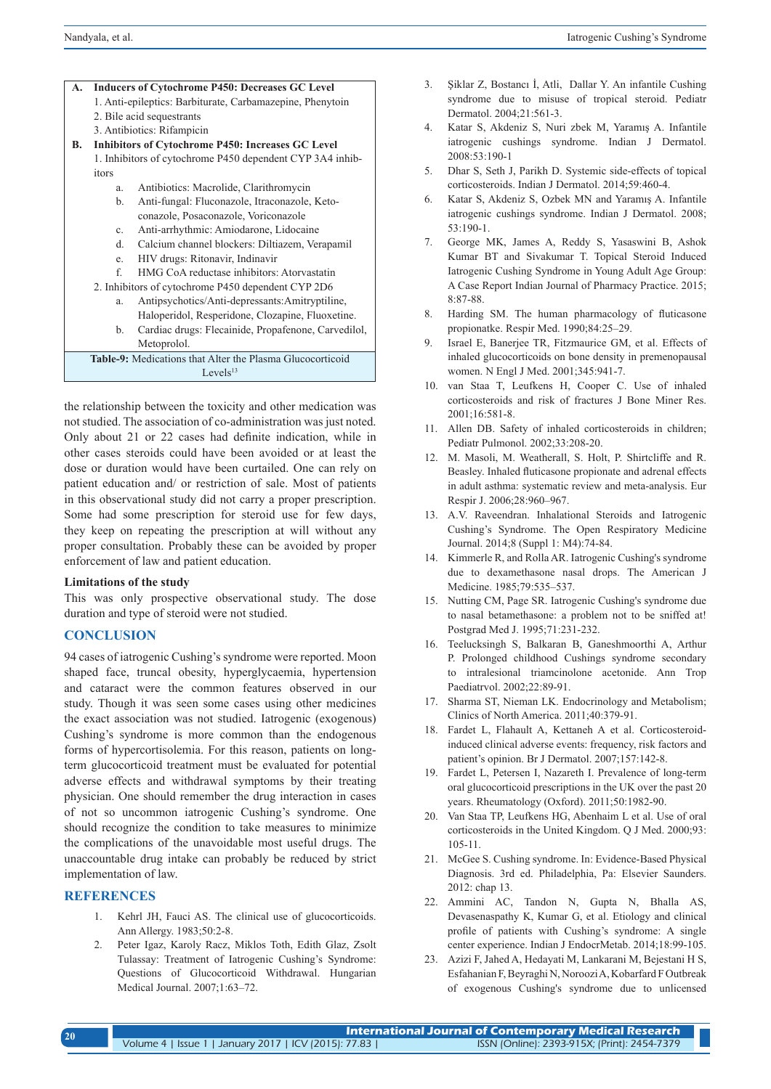| А. | <b>Inducers of Cytochrome P450: Decreases GC Level</b>    |  |
|----|-----------------------------------------------------------|--|
|    | 1. Anti-epileptics: Barbiturate, Carbamazepine, Phenytoin |  |
|    | 2. Bile acid sequestrants                                 |  |
|    | 3. Antibiotics: Rifampicin                                |  |
| В. | Inhibitors of Cytochrome P450: Increases GC Level         |  |
|    | 1. Inhibitors of cytochrome P450 dependent CYP 3A4 inhib- |  |
|    | itors                                                     |  |
|    | Antibiotics: Macrolide, Clarithromycin<br>a.              |  |
|    | Anti-fungal: Fluconazole, Itraconazole, Keto-<br>b.       |  |
|    | conazole, Posaconazole, Voriconazole                      |  |
|    | Anti-arrhythmic: Amiodarone, Lidocaine<br>c.              |  |

- d. Calcium channel blockers: Diltiazem, Verapamil
- e. HIV drugs: Ritonavir, Indinavir
- f. HMG CoA reductase inhibitors: Atorvastatin
- 2. Inhibitors of cytochrome P450 dependent CYP 2D6
	- a. Antipsychotics/Anti-depressants:Amitryptiline, Haloperidol, Resperidone, Clozapine, Fluoxetine.
	- b. Cardiac drugs: Flecainide, Propafenone, Carvedilol, Metoprolol.

| <b>Table-9:</b> Medications that Alter the Plasma Glucocorticoid |
|------------------------------------------------------------------|
| Levels $^{13}$                                                   |

the relationship between the toxicity and other medication was not studied. The association of co-administration was just noted. Only about 21 or 22 cases had definite indication, while in other cases steroids could have been avoided or at least the dose or duration would have been curtailed. One can rely on patient education and/ or restriction of sale. Most of patients in this observational study did not carry a proper prescription. Some had some prescription for steroid use for few days, they keep on repeating the prescription at will without any proper consultation. Probably these can be avoided by proper enforcement of law and patient education.

#### **Limitations of the study**

This was only prospective observational study. The dose duration and type of steroid were not studied.

## **CONCLUSION**

94 cases of iatrogenic Cushing's syndrome were reported. Moon shaped face, truncal obesity, hyperglycaemia, hypertension and cataract were the common features observed in our study. Though it was seen some cases using other medicines the exact association was not studied. Iatrogenic (exogenous) Cushing's syndrome is more common than the endogenous forms of hypercortisolemia. For this reason, patients on longterm glucocorticoid treatment must be evaluated for potential adverse effects and withdrawal symptoms by their treating physician. One should remember the drug interaction in cases of not so uncommon iatrogenic Cushing's syndrome. One should recognize the condition to take measures to minimize the complications of the unavoidable most useful drugs. The unaccountable drug intake can probably be reduced by strict implementation of law.

# **REFERENCES**

- 1. Kehrl JH, Fauci AS. The clinical use of glucocorticoids. Ann Allergy. 1983;50:2-8.
- 2. Peter Igaz, Karoly Racz, Miklos Toth, Edith Glaz, Zsolt Tulassay: Treatment of Iatrogenic Cushing's Syndrome: Questions of Glucocorticoid Withdrawal. Hungarian Medical Journal. 2007;1:63–72.
- 3. Şiklar Z, Bostancı İ, Atli, Dallar Y. An infantile Cushing syndrome due to misuse of tropical steroid. Pediatr Dermatol. 2004;21:561-3.
- 4. Katar S, Akdeniz S, Nuri zbek M, Yaramış A. Infantile iatrogenic cushings syndrome. Indian J Dermatol. 2008:53:190-1
- 5. Dhar S, Seth J, Parikh D. Systemic side-effects of topical corticosteroids. Indian J Dermatol. 2014;59:460-4.
- 6. Katar S, Akdeniz S, Ozbek MN and Yaramış A. Infantile iatrogenic cushings syndrome. Indian J Dermatol. 2008; 53:190-1.
- 7. George MK, James A, Reddy S, Yasaswini B, Ashok Kumar BT and Sivakumar T. Topical Steroid Induced Iatrogenic Cushing Syndrome in Young Adult Age Group: A Case Report Indian Journal of Pharmacy Practice. 2015; 8:87-88.
- 8. Harding SM. The human pharmacology of fluticasone propionatke. Respir Med. 1990;84:25–29.
- 9. Israel E, Banerjee TR, Fitzmaurice GM, et al. Effects of inhaled glucocorticoids on bone density in premenopausal women. N Engl J Med. 2001;345:941-7.
- 10. van Staa T, Leufkens H, Cooper C. Use of inhaled corticosteroids and risk of fractures J Bone Miner Res. 2001;16:581-8.
- 11. Allen DB. Safety of inhaled corticosteroids in children; Pediatr Pulmonol. 2002;33:208-20.
- 12. M. Masoli, M. Weatherall, S. Holt, P. Shirtcliffe and R. Beasley. Inhaled fluticasone propionate and adrenal effects in adult asthma: systematic review and meta-analysis. Eur Respir J. 2006;28:960–967.
- 13. A.V. Raveendran. Inhalational Steroids and Iatrogenic Cushing's Syndrome. The Open Respiratory Medicine Journal. 2014;8 (Suppl 1: M4):74-84.
- 14. Kimmerle R, and Rolla AR. Iatrogenic Cushing's syndrome due to dexamethasone nasal drops. The American J Medicine. 1985;79:535–537.
- 15. Nutting CM, Page SR. Iatrogenic Cushing's syndrome due to nasal betamethasone: a problem not to be sniffed at! Postgrad Med J. 1995;71:231-232.
- 16. Teelucksingh S, Balkaran B, Ganeshmoorthi A, Arthur P. Prolonged childhood Cushings syndrome secondary to intralesional triamcinolone acetonide. Ann Trop Paediatrvol. 2002;22:89-91.
- 17. Sharma ST, Nieman LK. Endocrinology and Metabolism; Clinics of North America. 2011;40:379-91.
- 18. Fardet L, Flahault A, Kettaneh A et al. Corticosteroidinduced clinical adverse events: frequency, risk factors and patient's opinion. Br J Dermatol. 2007;157:142-8.
- 19. Fardet L, Petersen I, Nazareth I. Prevalence of long-term oral glucocorticoid prescriptions in the UK over the past 20 years. Rheumatology (Oxford). 2011;50:1982-90.
- 20. Van Staa TP, Leufkens HG, Abenhaim L et al. Use of oral corticosteroids in the United Kingdom. Q J Med. 2000;93: 105-11.
- 21. McGee S. Cushing syndrome. In: Evidence-Based Physical Diagnosis. 3rd ed. Philadelphia, Pa: Elsevier Saunders. 2012: chap 13.
- 22. Ammini AC, Tandon N, Gupta N, Bhalla AS, Devasenaspathy K, Kumar G, et al. Etiology and clinical profile of patients with Cushing's syndrome: A single center experience. Indian J EndocrMetab. 2014;18:99-105.
- 23. Azizi F, Jahed A, Hedayati M, Lankarani M, Bejestani H S, Esfahanian F, Beyraghi N, Noroozi A, Kobarfard F Outbreak of exogenous Cushing's syndrome due to unlicensed